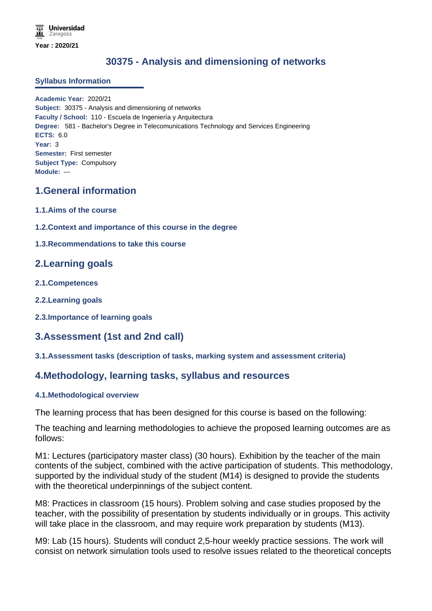# **30375 - Analysis and dimensioning of networks**

#### **Syllabus Information**

**Academic Year:** 2020/21 **Subject:** 30375 - Analysis and dimensioning of networks **Faculty / School:** 110 - Escuela de Ingeniería y Arquitectura **Degree:** 581 - Bachelor's Degree in Telecomunications Technology and Services Engineering **ECTS:** 6.0 **Year:** 3 **Semester:** First semester **Subject Type:** Compulsory **Module:** ---

## **1.General information**

- **1.1.Aims of the course**
- **1.2.Context and importance of this course in the degree**
- **1.3.Recommendations to take this course**

## **2.Learning goals**

- **2.1.Competences**
- **2.2.Learning goals**
- **2.3.Importance of learning goals**

## **3.Assessment (1st and 2nd call)**

#### **3.1.Assessment tasks (description of tasks, marking system and assessment criteria)**

### **4.Methodology, learning tasks, syllabus and resources**

#### **4.1.Methodological overview**

The learning process that has been designed for this course is based on the following:

The teaching and learning methodologies to achieve the proposed learning outcomes are as follows:

M1: Lectures (participatory master class) (30 hours). Exhibition by the teacher of the main contents of the subject, combined with the active participation of students. This methodology, supported by the individual study of the student (M14) is designed to provide the students with the theoretical underpinnings of the subject content.

M8: Practices in classroom (15 hours). Problem solving and case studies proposed by the teacher, with the possibility of presentation by students individually or in groups. This activity will take place in the classroom, and may require work preparation by students (M13).

M9: Lab (15 hours). Students will conduct 2,5-hour weekly practice sessions. The work will consist on network simulation tools used to resolve issues related to the theoretical concepts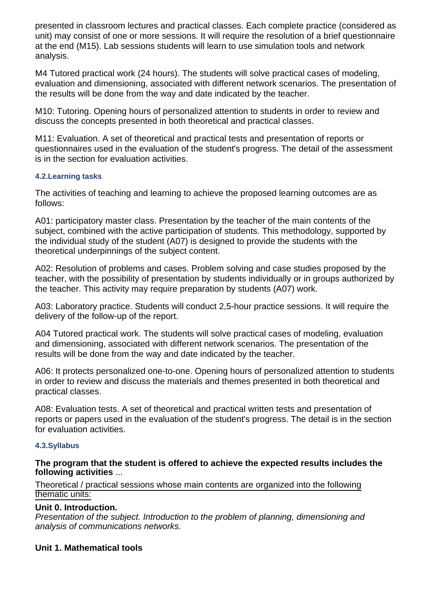presented in classroom lectures and practical classes. Each complete practice (considered as unit) may consist of one or more sessions. It will require the resolution of a brief questionnaire at the end (M15). Lab sessions students will learn to use simulation tools and network analysis.

M4 Tutored practical work (24 hours). The students will solve practical cases of modeling, evaluation and dimensioning, associated with different network scenarios. The presentation of the results will be done from the way and date indicated by the teacher.

M10: Tutoring. Opening hours of personalized attention to students in order to review and discuss the concepts presented in both theoretical and practical classes.

M11: Evaluation. A set of theoretical and practical tests and presentation of reports or questionnaires used in the evaluation of the student's progress. The detail of the assessment is in the section for evaluation activities.

### **4.2.Learning tasks**

The activities of teaching and learning to achieve the proposed learning outcomes are as follows:

A01: participatory master class. Presentation by the teacher of the main contents of the subject, combined with the active participation of students. This methodology, supported by the individual study of the student (A07) is designed to provide the students with the theoretical underpinnings of the subject content.

A02: Resolution of problems and cases. Problem solving and case studies proposed by the teacher, with the possibility of presentation by students individually or in groups authorized by the teacher. This activity may require preparation by students (A07) work.

A03: Laboratory practice. Students will conduct 2,5-hour practice sessions. It will require the delivery of the follow-up of the report.

A04 Tutored practical work. The students will solve practical cases of modeling, evaluation and dimensioning, associated with different network scenarios. The presentation of the results will be done from the way and date indicated by the teacher.

A06: It protects personalized one-to-one. Opening hours of personalized attention to students in order to review and discuss the materials and themes presented in both theoretical and practical classes.

A08: Evaluation tests. A set of theoretical and practical written tests and presentation of reports or papers used in the evaluation of the student's progress. The detail is in the section for evaluation activities.

#### **4.3.Syllabus**

### **The program that the student is offered to achieve the expected results includes the following activities** ...

### Theoretical / practical sessions whose main contents are organized into the following thematic units:

### **Unit 0. Introduction.**

Presentation of the subject. Introduction to the problem of planning, dimensioning and analysis of communications networks.

### **Unit 1. Mathematical tools**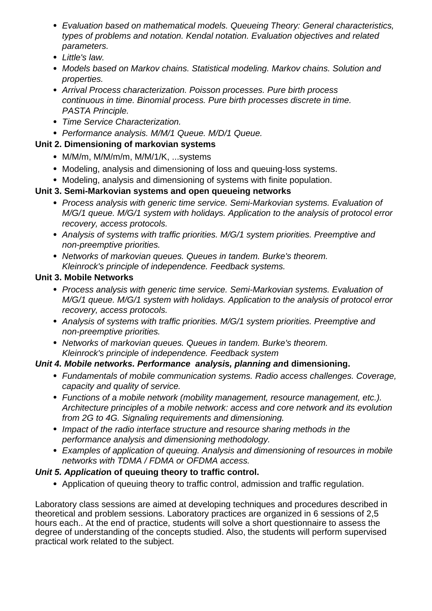- Evaluation based on mathematical models. Queueing Theory: General characteristics, types of problems and notation. Kendal notation. Evaluation objectives and related parameters.
- Little's law.
- Models based on Markov chains. Statistical modeling. Markov chains. Solution and properties.
- Arrival Process characterization. Poisson processes. Pure birth process continuous in time. Binomial process. Pure birth processes discrete in time. PASTA Principle.
- Time Service Characterization.
- Performance analysis. M/M/1 Queue. M/D/1 Queue.

# **Unit 2. Dimensioning of markovian systems**

- M/M/m, M/M/m/m, M/M/1/K, ...systems
- Modeling, analysis and dimensioning of loss and queuing-loss systems.
- Modeling, analysis and dimensioning of systems with finite population.

# **Unit 3. Semi-Markovian systems and open queueing networks**

- Process analysis with generic time service. Semi-Markovian systems. Evaluation of M/G/1 queue. M/G/1 system with holidays. Application to the analysis of protocol error recovery, access protocols.
- Analysis of systems with traffic priorities. M/G/1 system priorities. Preemptive and non-preemptive priorities.
- Networks of markovian queues. Queues in tandem. Burke's theorem. Kleinrock's principle of independence. Feedback systems.

## **Unit 3. Mobile Networks**

- Process analysis with generic time service. Semi-Markovian systems. Evaluation of M/G/1 queue. M/G/1 system with holidays. Application to the analysis of protocol error recovery, access protocols.
- Analysis of systems with traffic priorities. M/G/1 system priorities. Preemptive and non-preemptive priorities.
- Networks of markovian queues. Queues in tandem. Burke's theorem. Kleinrock's principle of independence. Feedback system

# **Unit 4. Mobile networks. Performance analysis, planning and dimensioning.**

- Fundamentals of mobile communication systems. Radio access challenges. Coverage, capacity and quality of service.
- Functions of a mobile network (mobility management, resource management, etc.). Architecture principles of a mobile network: access and core network and its evolution from 2G to 4G. Signaling requirements and dimensioning.
- Impact of the radio interface structure and resource sharing methods in the performance analysis and dimensioning methodology.
- Examples of application of queuing. Analysis and dimensioning of resources in mobile networks with TDMA / FDMA or OFDMA access.

# **Unit 5. Application of queuing theory to traffic control.**

Application of queuing theory to traffic control, admission and traffic regulation.

Laboratory class sessions are aimed at developing techniques and procedures described in theoretical and problem sessions. Laboratory practices are organized in 6 sessions of 2,5 hours each.. At the end of practice, students will solve a short questionnaire to assess the degree of understanding of the concepts studied. Also, the students will perform supervised practical work related to the subject.